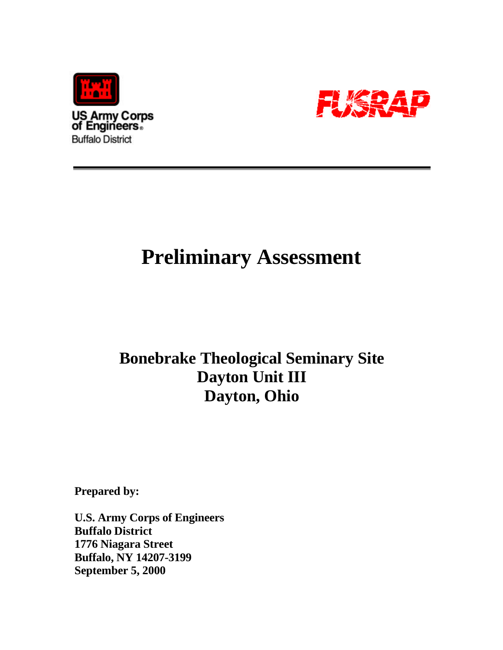



# **Preliminary Assessment**

## **Bonebrake Theological Seminary Site Dayton Unit III Dayton, Ohio**

**Prepared by:**

**U.S. Army Corps of Engineers Buffalo District 1776 Niagara Street Buffalo, NY 14207-3199 September 5, 2000**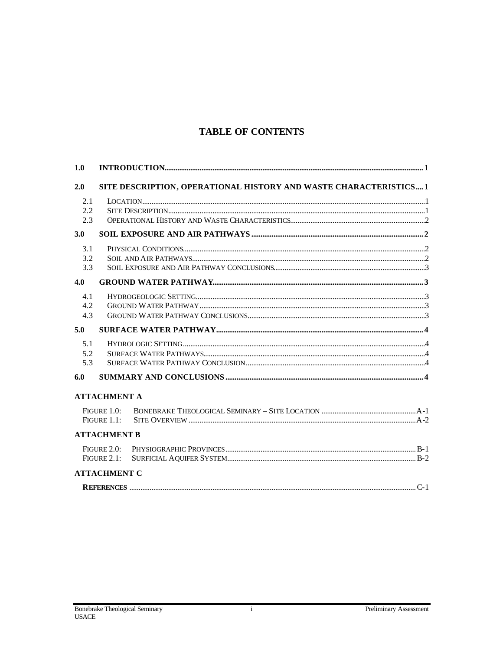## **TABLE OF CONTENTS**

| 1.0                                                                      |                     |  |  |
|--------------------------------------------------------------------------|---------------------|--|--|
| SITE DESCRIPTION, OPERATIONAL HISTORY AND WASTE CHARACTERISTICS 1<br>2.0 |                     |  |  |
| 2.1<br>2.2                                                               |                     |  |  |
| 2.3                                                                      |                     |  |  |
| 3.0                                                                      |                     |  |  |
| 3.1                                                                      |                     |  |  |
| 3.2                                                                      |                     |  |  |
| 3.3                                                                      |                     |  |  |
| 4.0                                                                      |                     |  |  |
| 4.1                                                                      |                     |  |  |
| 4.2                                                                      |                     |  |  |
| 4.3                                                                      |                     |  |  |
| 5.0                                                                      |                     |  |  |
| 5.1                                                                      |                     |  |  |
| 5.2                                                                      |                     |  |  |
| 5.3                                                                      |                     |  |  |
| 6.0                                                                      |                     |  |  |
|                                                                          | <b>ATTACHMENT A</b> |  |  |
| FIGURE 1.0:                                                              |                     |  |  |
| FIGURE 1.1:                                                              |                     |  |  |
|                                                                          | <b>ATTACHMENT B</b> |  |  |
| FIGURE 2.0:                                                              |                     |  |  |
| FIGURE 2.1:                                                              |                     |  |  |
|                                                                          | <b>ATTACHMENT C</b> |  |  |
|                                                                          |                     |  |  |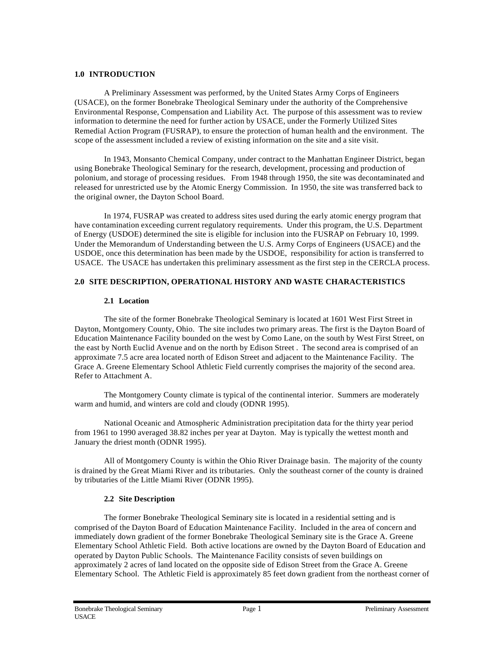#### **1.0 INTRODUCTION**

A Preliminary Assessment was performed, by the United States Army Corps of Engineers (USACE), on the former Bonebrake Theological Seminary under the authority of the Comprehensive Environmental Response, Compensation and Liability Act. The purpose of this assessment was to review information to determine the need for further action by USACE, under the Formerly Utilized Sites Remedial Action Program (FUSRAP), to ensure the protection of human health and the environment. The scope of the assessment included a review of existing information on the site and a site visit.

In 1943, Monsanto Chemical Company, under contract to the Manhattan Engineer District, began using Bonebrake Theological Seminary for the research, development, processing and production of polonium, and storage of processing residues. From 1948 through 1950, the site was decontaminated and released for unrestricted use by the Atomic Energy Commission. In 1950, the site was transferred back to the original owner, the Dayton School Board.

In 1974, FUSRAP was created to address sites used during the early atomic energy program that have contamination exceeding current regulatory requirements. Under this program, the U.S. Department of Energy (USDOE) determined the site is eligible for inclusion into the FUSRAP on February 10, 1999. Under the Memorandum of Understanding between the U.S. Army Corps of Engineers (USACE) and the USDOE, once this determination has been made by the USDOE, responsibility for action is transferred to USACE. The USACE has undertaken this preliminary assessment as the first step in the CERCLA process.

#### **2.0 SITE DESCRIPTION, OPERATIONAL HISTORY AND WASTE CHARACTERISTICS**

#### **2.1 Location**

The site of the former Bonebrake Theological Seminary is located at 1601 West First Street in Dayton, Montgomery County, Ohio. The site includes two primary areas. The first is the Dayton Board of Education Maintenance Facility bounded on the west by Como Lane, on the south by West First Street, on the east by North Euclid Avenue and on the north by Edison Street . The second area is comprised of an approximate 7.5 acre area located north of Edison Street and adjacent to the Maintenance Facility. The Grace A. Greene Elementary School Athletic Field currently comprises the majority of the second area. Refer to Attachment A.

The Montgomery County climate is typical of the continental interior. Summers are moderately warm and humid, and winters are cold and cloudy (ODNR 1995).

National Oceanic and Atmospheric Administration precipitation data for the thirty year period from 1961 to 1990 averaged 38.82 inches per year at Dayton. May is typically the wettest month and January the driest month (ODNR 1995).

All of Montgomery County is within the Ohio River Drainage basin. The majority of the county is drained by the Great Miami River and its tributaries. Only the southeast corner of the county is drained by tributaries of the Little Miami River (ODNR 1995).

#### **2.2 Site Description**

The former Bonebrake Theological Seminary site is located in a residential setting and is comprised of the Dayton Board of Education Maintenance Facility. Included in the area of concern and immediately down gradient of the former Bonebrake Theological Seminary site is the Grace A. Greene Elementary School Athletic Field. Both active locations are owned by the Dayton Board of Education and operated by Dayton Public Schools. The Maintenance Facility consists of seven buildings on approximately 2 acres of land located on the opposite side of Edison Street from the Grace A. Greene Elementary School. The Athletic Field is approximately 85 feet down gradient from the northeast corner of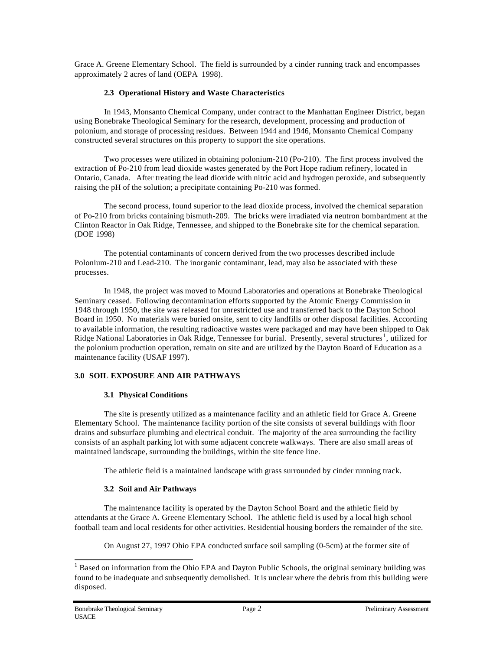Grace A. Greene Elementary School. The field is surrounded by a cinder running track and encompasses approximately 2 acres of land (OEPA 1998).

#### **2.3 Operational History and Waste Characteristics**

In 1943, Monsanto Chemical Company, under contract to the Manhattan Engineer District, began using Bonebrake Theological Seminary for the research, development, processing and production of polonium, and storage of processing residues. Between 1944 and 1946, Monsanto Chemical Company constructed several structures on this property to support the site operations.

Two processes were utilized in obtaining polonium-210 (Po-210). The first process involved the extraction of Po-210 from lead dioxide wastes generated by the Port Hope radium refinery, located in Ontario, Canada. After treating the lead dioxide with nitric acid and hydrogen peroxide, and subsequently raising the pH of the solution; a precipitate containing Po-210 was formed.

The second process, found superior to the lead dioxide process, involved the chemical separation of Po-210 from bricks containing bismuth-209. The bricks were irradiated via neutron bombardment at the Clinton Reactor in Oak Ridge, Tennessee, and shipped to the Bonebrake site for the chemical separation. (DOE 1998)

The potential contaminants of concern derived from the two processes described include Polonium-210 and Lead-210. The inorganic contaminant, lead, may also be associated with these processes.

In 1948, the project was moved to Mound Laboratories and operations at Bonebrake Theological Seminary ceased. Following decontamination efforts supported by the Atomic Energy Commission in 1948 through 1950, the site was released for unrestricted use and transferred back to the Dayton School Board in 1950. No materials were buried onsite, sent to city landfills or other disposal facilities. According to available information, the resulting radioactive wastes were packaged and may have been shipped to Oak Ridge National Laboratories in Oak Ridge, Tennessee for burial. Presently, several structures<sup>1</sup>, utilized for the polonium production operation, remain on site and are utilized by the Dayton Board of Education as a maintenance facility (USAF 1997).

#### **3.0 SOIL EXPOSURE AND AIR PATHWAYS**

#### **3.1 Physical Conditions**

The site is presently utilized as a maintenance facility and an athletic field for Grace A. Greene Elementary School. The maintenance facility portion of the site consists of several buildings with floor drains and subsurface plumbing and electrical conduit. The majority of the area surrounding the facility consists of an asphalt parking lot with some adjacent concrete walkways. There are also small areas of maintained landscape, surrounding the buildings, within the site fence line.

The athletic field is a maintained landscape with grass surrounded by cinder running track.

#### **3.2 Soil and Air Pathways**

The maintenance facility is operated by the Dayton School Board and the athletic field by attendants at the Grace A. Greene Elementary School. The athletic field is used by a local high school football team and local residents for other activities. Residential housing borders the remainder of the site.

On August 27, 1997 Ohio EPA conducted surface soil sampling (0-5cm) at the former site of

l

<sup>&</sup>lt;sup>1</sup> Based on information from the Ohio EPA and Dayton Public Schools, the original seminary building was found to be inadequate and subsequently demolished. It is unclear where the debris from this building were disposed.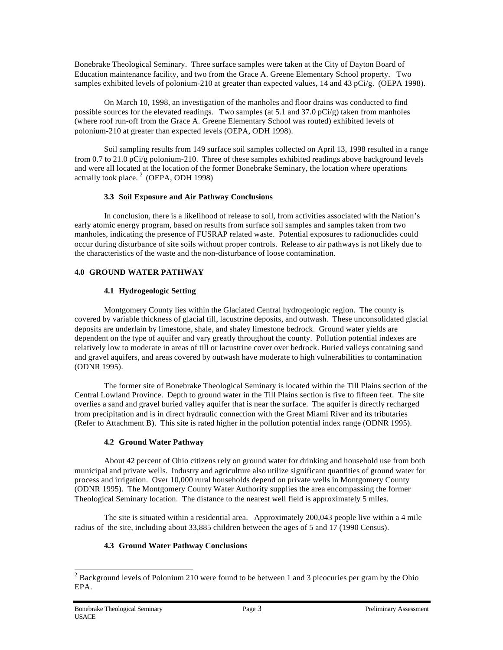Bonebrake Theological Seminary. Three surface samples were taken at the City of Dayton Board of Education maintenance facility, and two from the Grace A. Greene Elementary School property. Two samples exhibited levels of polonium-210 at greater than expected values, 14 and 43 pCi/g. (OEPA 1998).

On March 10, 1998, an investigation of the manholes and floor drains was conducted to find possible sources for the elevated readings. Two samples (at 5.1 and 37.0 pCi/g) taken from manholes (where roof run-off from the Grace A. Greene Elementary School was routed) exhibited levels of polonium-210 at greater than expected levels (OEPA, ODH 1998).

Soil sampling results from 149 surface soil samples collected on April 13, 1998 resulted in a range from 0.7 to 21.0 pCi/g polonium-210. Three of these samples exhibited readings above background levels and were all located at the location of the former Bonebrake Seminary, the location where operations actually took place.  $2$  (OEPA, ODH 1998)

#### **3.3 Soil Exposure and Air Pathway Conclusions**

In conclusion, there is a likelihood of release to soil, from activities associated with the Nation's early atomic energy program, based on results from surface soil samples and samples taken from two manholes, indicating the presence of FUSRAP related waste. Potential exposures to radionuclides could occur during disturbance of site soils without proper controls. Release to air pathways is not likely due to the characteristics of the waste and the non-disturbance of loose contamination.

#### **4.0 GROUND WATER PATHWAY**

#### **4.1 Hydrogeologic Setting**

Montgomery County lies within the Glaciated Central hydrogeologic region. The county is covered by variable thickness of glacial till, lacustrine deposits, and outwash. These unconsolidated glacial deposits are underlain by limestone, shale, and shaley limestone bedrock. Ground water yields are dependent on the type of aquifer and vary greatly throughout the county. Pollution potential indexes are relatively low to moderate in areas of till or lacustrine cover over bedrock. Buried valleys containing sand and gravel aquifers, and areas covered by outwash have moderate to high vulnerabilities to contamination (ODNR 1995).

The former site of Bonebrake Theological Seminary is located within the Till Plains section of the Central Lowland Province. Depth to ground water in the Till Plains section is five to fifteen feet. The site overlies a sand and gravel buried valley aquifer that is near the surface. The aquifer is directly recharged from precipitation and is in direct hydraulic connection with the Great Miami River and its tributaries (Refer to Attachment B). This site is rated higher in the pollution potential index range (ODNR 1995).

#### **4.2 Ground Water Pathway**

About 42 percent of Ohio citizens rely on ground water for drinking and household use from both municipal and private wells. Industry and agriculture also utilize significant quantities of ground water for process and irrigation. Over 10,000 rural households depend on private wells in Montgomery County (ODNR 1995). The Montgomery County Water Authority supplies the area encompassing the former Theological Seminary location. The distance to the nearest well field is approximately 5 miles.

The site is situated within a residential area. Approximately 200,043 people live within a 4 mile radius of the site, including about 33,885 children between the ages of 5 and 17 (1990 Census).

#### **4.3 Ground Water Pathway Conclusions**

l

<sup>&</sup>lt;sup>2</sup> Background levels of Polonium 210 were found to be between 1 and 3 picocuries per gram by the Ohio EPA.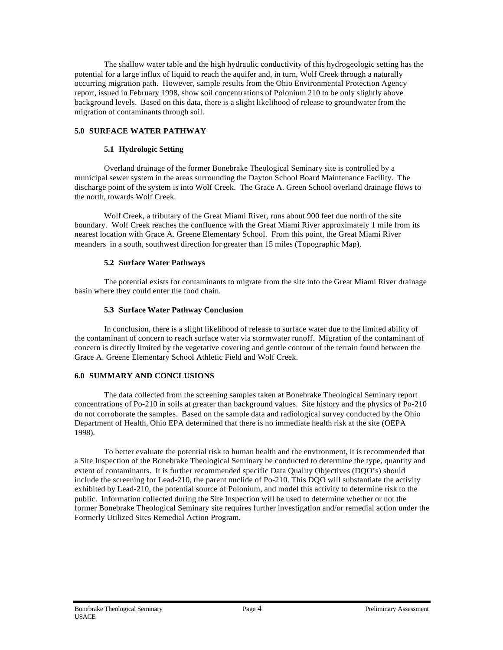The shallow water table and the high hydraulic conductivity of this hydrogeologic setting has the potential for a large influx of liquid to reach the aquifer and, in turn, Wolf Creek through a naturally occurring migration path. However, sample results from the Ohio Environmental Protection Agency report, issued in February 1998, show soil concentrations of Polonium 210 to be only slightly above background levels. Based on this data, there is a slight likelihood of release to groundwater from the migration of contaminants through soil.

#### **5.0 SURFACE WATER PATHWAY**

#### **5.1 Hydrologic Setting**

Overland drainage of the former Bonebrake Theological Seminary site is controlled by a municipal sewer system in the areas surrounding the Dayton School Board Maintenance Facility. The discharge point of the system is into Wolf Creek. The Grace A. Green School overland drainage flows to the north, towards Wolf Creek.

Wolf Creek, a tributary of the Great Miami River, runs about 900 feet due north of the site boundary. Wolf Creek reaches the confluence with the Great Miami River approximately 1 mile from its nearest location with Grace A. Greene Elementary School. From this point, the Great Miami River meanders in a south, southwest direction for greater than 15 miles (Topographic Map).

#### **5.2 Surface Water Pathways**

The potential exists for contaminants to migrate from the site into the Great Miami River drainage basin where they could enter the food chain.

#### **5.3 Surface Water Pathway Conclusion**

In conclusion, there is a slight likelihood of release to surface water due to the limited ability of the contaminant of concern to reach surface water via stormwater runoff. Migration of the contaminant of concern is directly limited by the vegetative covering and gentle contour of the terrain found between the Grace A. Greene Elementary School Athletic Field and Wolf Creek.

#### **6.0 SUMMARY AND CONCLUSIONS**

The data collected from the screening samples taken at Bonebrake Theological Seminary report concentrations of Po-210 in soils at greater than background values. Site history and the physics of Po-210 do not corroborate the samples. Based on the sample data and radiological survey conducted by the Ohio Department of Health, Ohio EPA determined that there is no immediate health risk at the site (OEPA 1998).

To better evaluate the potential risk to human health and the environment, it is recommended that a Site Inspection of the Bonebrake Theological Seminary be conducted to determine the type, quantity and extent of contaminants. It is further recommended specific Data Quality Objectives (DQO's) should include the screening for Lead-210, the parent nuclide of Po-210. This DQO will substantiate the activity exhibited by Lead-210, the potential source of Polonium, and model this activity to determine risk to the public. Information collected during the Site Inspection will be used to determine whether or not the former Bonebrake Theological Seminary site requires further investigation and/or remedial action under the Formerly Utilized Sites Remedial Action Program.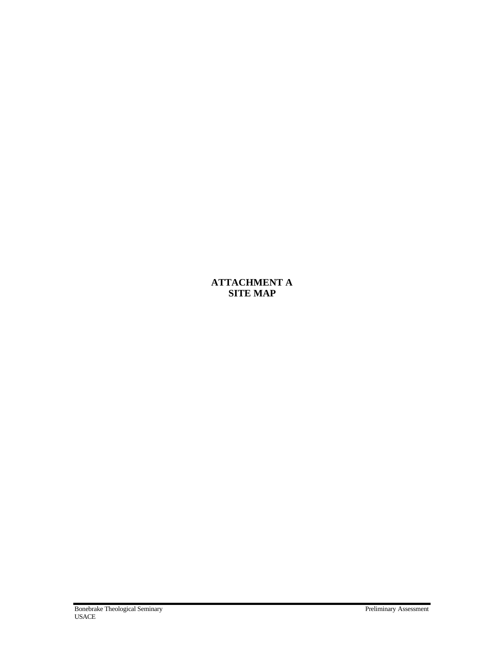## **ATTACHMENT A SITE MAP**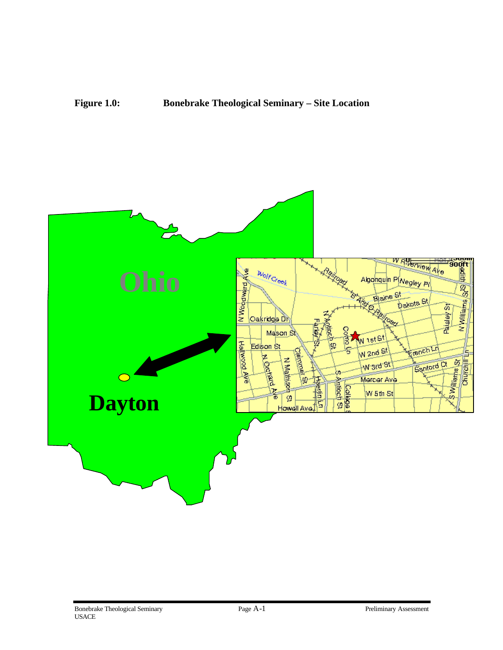### **Figure 1.0: Bonebrake Theological Seminary – Site Location**

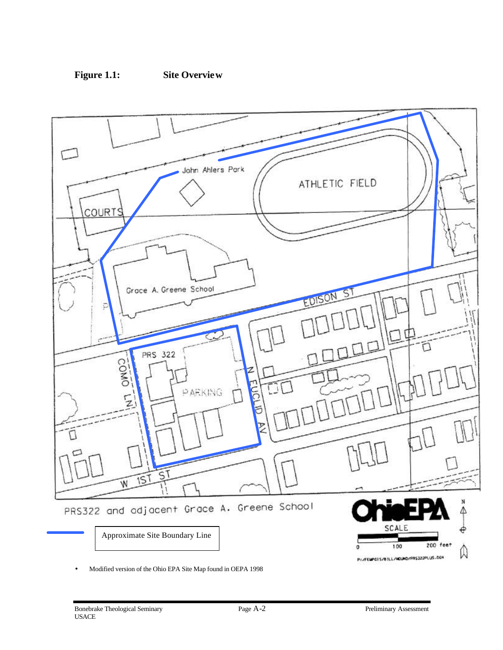



• Modified version of the Ohio EPA Site Map found in OEPA 1998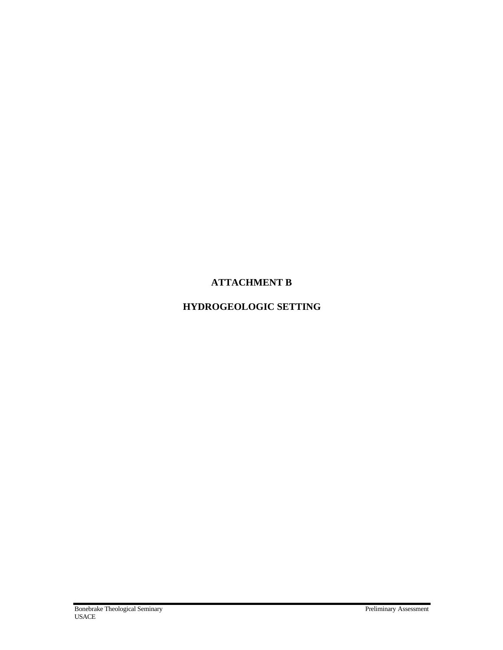## **ATTACHMENT B**

## **HYDROGEOLOGIC SETTING**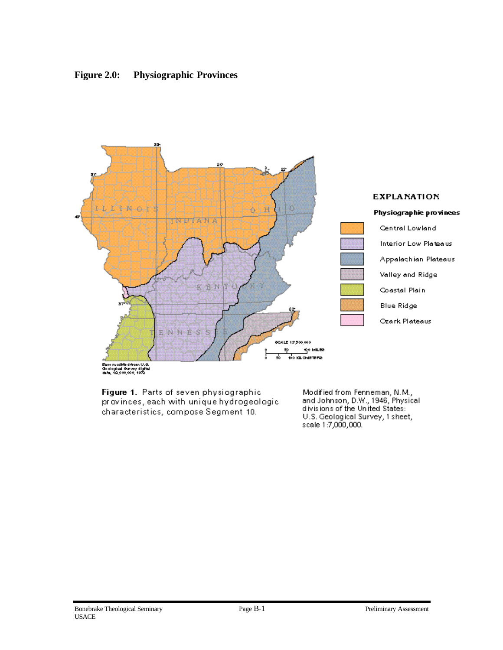



Figure 1. Parts of seven physiographic. provinces, each with unique hydrogeologic. characteristics, compose Segment 10.

Modified from Fenneman, N.M.,<br>and Johnson, D.W., 1946, Physical divisions of the United States: U.S. Geological Survey, 1 sheet, scale 1:7,000,000.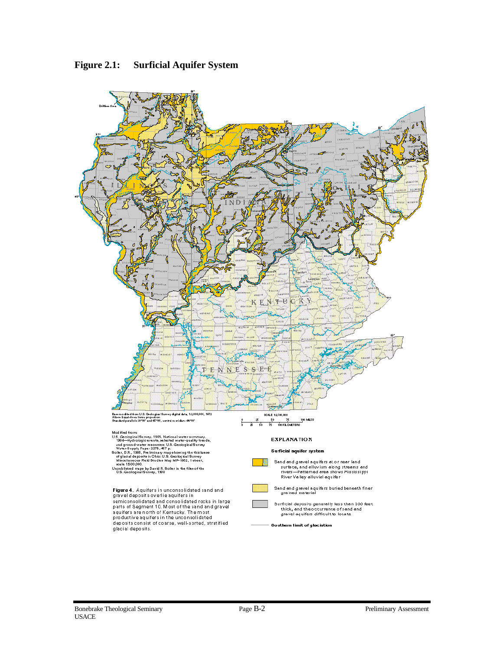

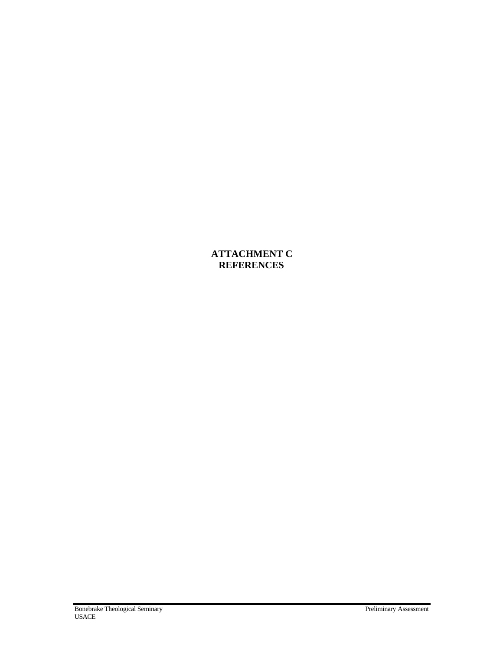**ATTACHMENT C REFERENCES**